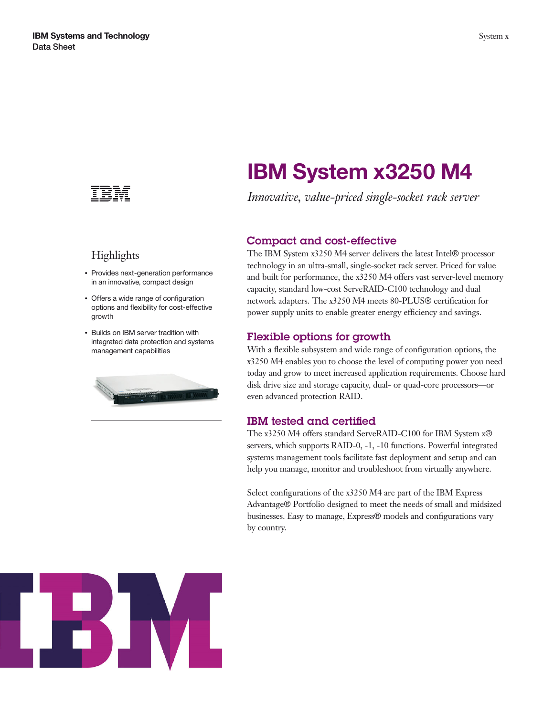

## **Highlights**

- Provides next-generation performance in an innovative, compact design
- Offers a wide range of configuration options and flexibility for cost-effective growth
- Builds on IBM server tradition with integrated data protection and systems management capabilities



# **IBM System x3250 M4**

*Innovative, value-priced single-socket rack server*

### **Compact and cost-effective**

The IBM System x3250 M4 server delivers the latest Intel® processor technology in an ultra-small, single-socket rack server. Priced for value and built for performance, the x3250 M4 offers vast server-level memory capacity, standard low-cost ServeRAID-C100 technology and dual network adapters. The x3250 M4 meets 80-PLUS® certification for power supply units to enable greater energy efficiency and savings.

### **Flexible options for growth**

With a flexible subsystem and wide range of configuration options, the x3250 M4 enables you to choose the level of computing power you need today and grow to meet increased application requirements. Choose hard disk drive size and storage capacity, dual- or quad-core processors—or even advanced protection RAID.

### **IBM tested and certified**

The x3250 M4 offers standard ServeRAID-C100 for IBM System x® servers, which supports RAID-0, -1, -10 functions. Powerful integrated systems management tools facilitate fast deployment and setup and can help you manage, monitor and troubleshoot from virtually anywhere.

Select configurations of the x3250 M4 are part of the IBM Express Advantage® Portfolio designed to meet the needs of small and midsized businesses. Easy to manage, Express® models and configurations vary by country.